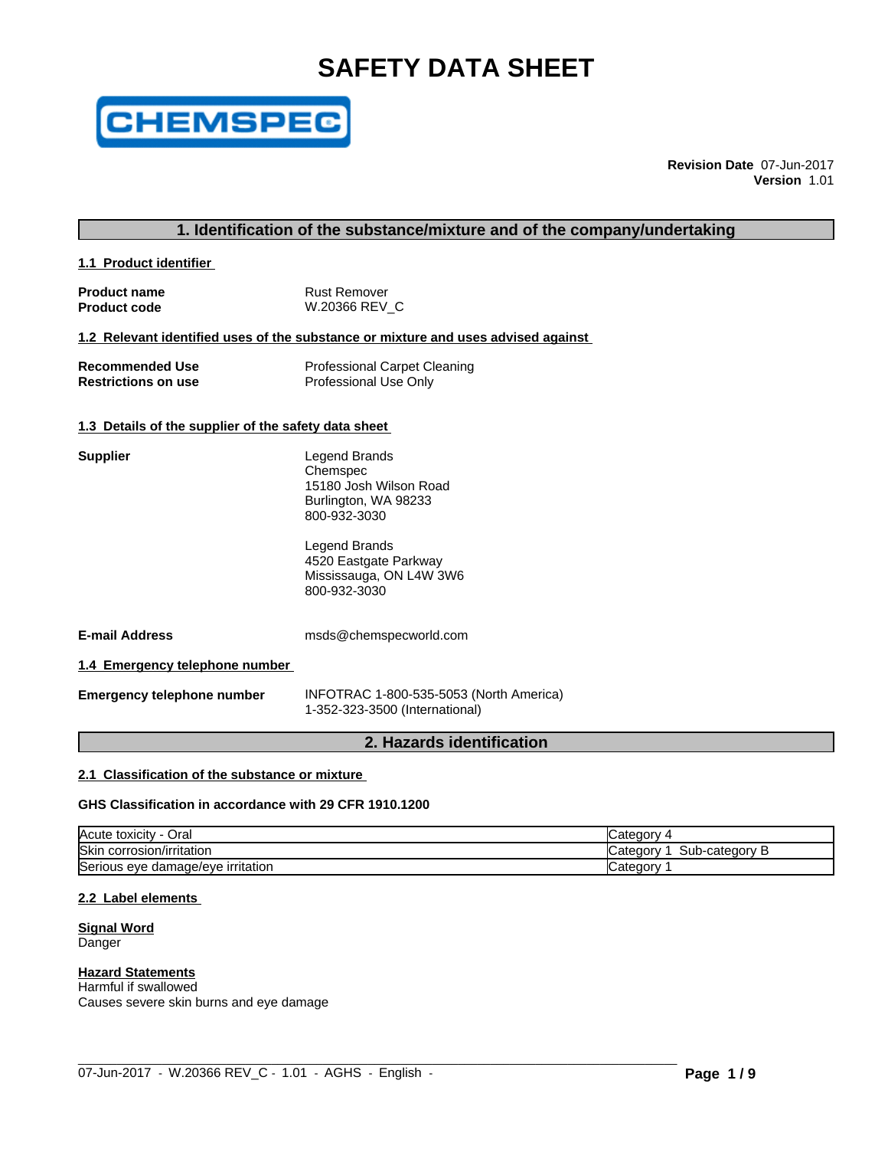# **SAFETY DATA SHEET**



**Revision Date** 07-Jun-2017 **Version** 1.01

# **1. Identification of the substance/mixture and of the company/undertaking**

**1.1 Product identifier** 

| <b>Product name</b> | Rust Remover  |
|---------------------|---------------|
| <b>Product code</b> | W.20366 REV C |

#### **1.2 Relevant identified uses of the substance or mixture and uses advised against**

| <b>Recommended Use</b>     | <b>Professional Carpet Cleaning</b> |
|----------------------------|-------------------------------------|
| <b>Restrictions on use</b> | Professional Use Only               |

#### **1.3 Details of the supplier of the safety data sheet**

| <b>Supplier</b>                | <b>Legend Brands</b><br>Chemspec<br>15180 Josh Wilson Road<br>Burlington, WA 98233<br>800-932-3030 |
|--------------------------------|----------------------------------------------------------------------------------------------------|
|                                | Legend Brands<br>4520 Eastgate Parkway<br>Mississauga, ON L4W 3W6<br>800-932-3030                  |
| <b>E-mail Address</b>          | msds@chemspecworld.com                                                                             |
| 1.4 Emergency telephone number |                                                                                                    |
|                                | $\mathbf{R}$                                                                                       |

**Emergency telephone number** INFOTRAC 1-800-535-5053 (North America) 1-352-323-3500 (International)

# **2. Hazards identification**

# **2.1 Classification of the substance or mixture**

#### **GHS Classification in accordance with 29 CFR 1910.1200**

| Acute<br>toxicity<br>Oral                 | ∵ategorٽ                         |
|-------------------------------------------|----------------------------------|
| <b>Skin</b><br>corrosion/irritation د     | Sub-category<br>∵ategorvٽ<br>. . |
| Serious<br>, damage/eye irritation<br>eve | ∵ategorvٽ                        |

#### **2.2 Label elements**

**Signal Word** Danger

# **Hazard Statements**

Harmful if swallowed Causes severe skin burns and eye damage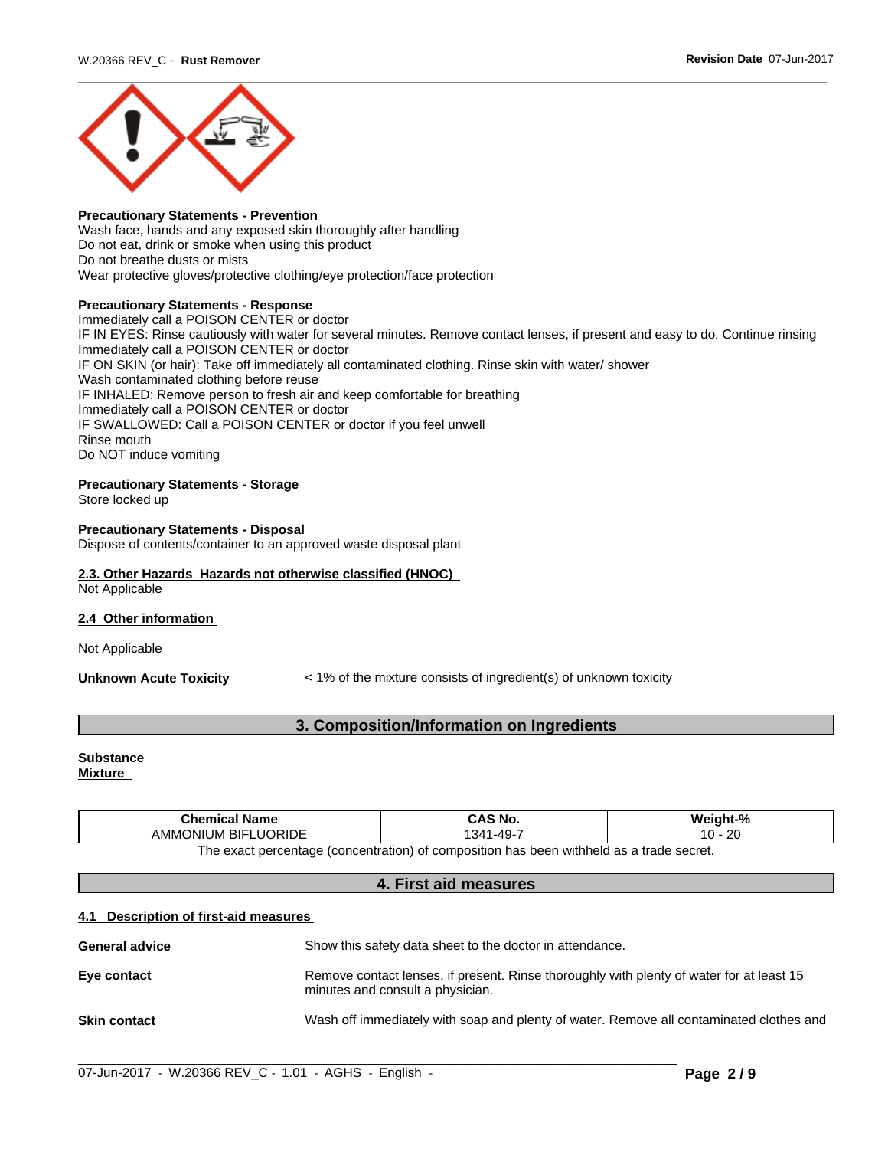

#### **Precautionary Statements - Prevention**

Wash face, hands and any exposed skin thoroughly after handling Do not eat, drink or smoke when using this product Do not breathe dusts or mists Wear protective gloves/protective clothing/eye protection/face protection

#### **Precautionary Statements - Response**

Immediately call a POISON CENTER or doctor IF IN EYES: Rinse cautiously with water for several minutes. Remove contact lenses, if present and easy to do. Continue rinsing Immediately call a POISON CENTER or doctor IF ON SKIN (or hair): Take off immediately all contaminated clothing. Rinse skin with water/ shower Wash contaminated clothing before reuse IF INHALED: Remove person to fresh air and keep comfortable for breathing Immediately call a POISON CENTER or doctor IF SWALLOWED: Call a POISON CENTER or doctor if you feel unwell Rinse mouth Do NOT induce vomiting

#### **Precautionary Statements - Storage**

Store locked up

#### **Precautionary Statements - Disposal**

Dispose of contents/container to an approved waste disposal plant

#### **2.3. Other Hazards Hazards not otherwise classified (HNOC)** Not Applicable

#### **2.4 Other information**

Not Applicable

**Unknown Acute Toxicity**  $\leq 1\%$  of the mixture consists of ingredient(s) of unknown toxicity

# **3. Composition/Information on Ingredients**

# **Substance**

**Mixture**

| - -<br><b>Chemical Name</b>                                                                                           | S No.<br>טרוט         | . .<br>$\mathbf{a}$<br>Weidi.<br>лт |  |  |
|-----------------------------------------------------------------------------------------------------------------------|-----------------------|-------------------------------------|--|--|
| <b>FLUORIDE</b><br><b>BIF</b><br>AMM<br>ionium                                                                        | .4Q.<br>. 341<br>- 70 | oc<br><u>L</u><br>ັ                 |  |  |
| hladdiw<br>(concentration)<br>' comnosition<br>tanna2 ahant a 2a h<br>exact nercentage<br>n has<br>: heen<br>ne<br>∩t |                       |                                     |  |  |

ntage (concentration) of composition has been withheld

#### **4. First aid measures**

#### **4.1 Description of first-aid measures**

| <b>General advice</b> | Show this safety data sheet to the doctor in attendance.                                                                     |
|-----------------------|------------------------------------------------------------------------------------------------------------------------------|
| Eye contact           | Remove contact lenses, if present. Rinse thoroughly with plenty of water for at least 15<br>minutes and consult a physician. |
| <b>Skin contact</b>   | Wash off immediately with soap and plenty of water. Remove all contaminated clothes and                                      |

 $\_$  ,  $\_$  ,  $\_$  ,  $\_$  ,  $\_$  ,  $\_$  ,  $\_$  ,  $\_$  ,  $\_$  ,  $\_$  ,  $\_$  ,  $\_$  ,  $\_$  ,  $\_$  ,  $\_$  ,  $\_$  ,  $\_$  ,  $\_$  ,  $\_$  ,  $\_$  ,  $\_$  ,  $\_$  ,  $\_$  ,  $\_$  ,  $\_$  ,  $\_$  ,  $\_$  ,  $\_$  ,  $\_$  ,  $\_$  ,  $\_$  ,  $\_$  ,  $\_$  ,  $\_$  ,  $\_$  ,  $\_$  ,  $\_$  ,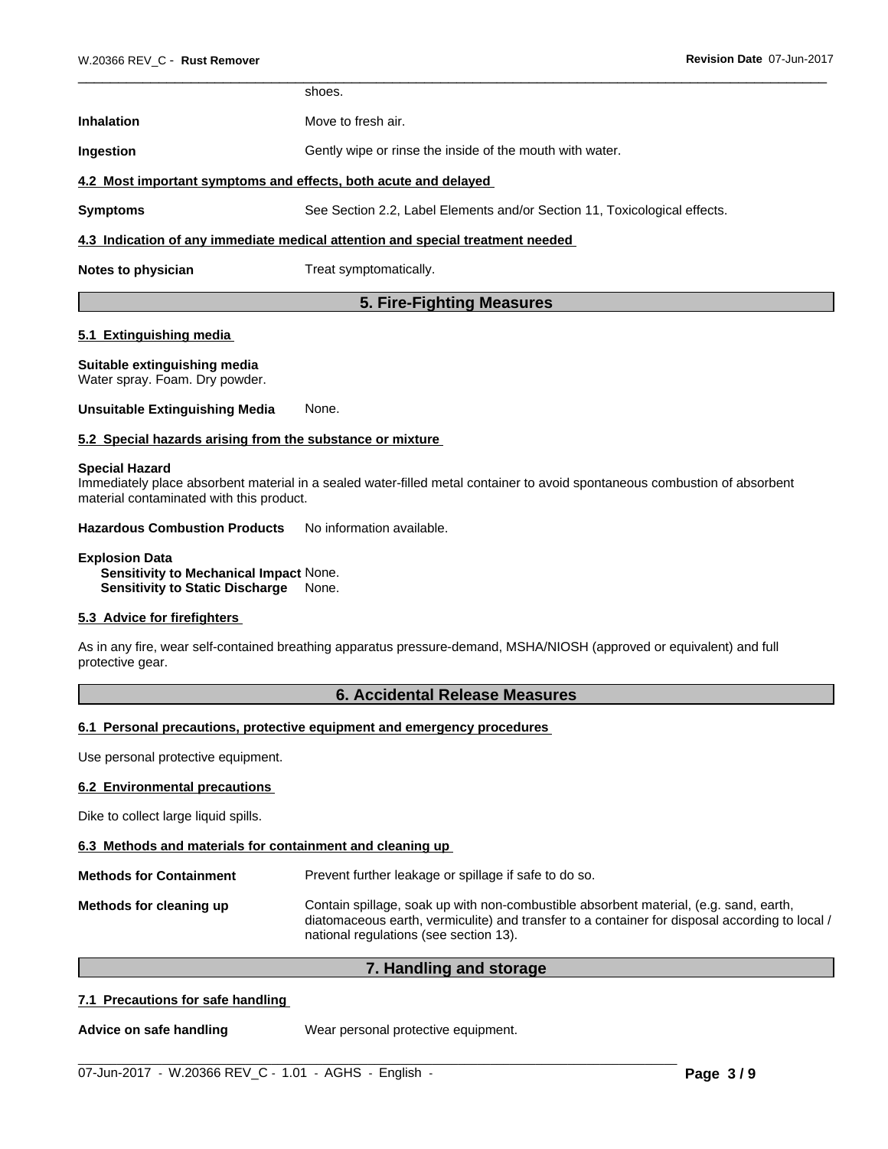# **Inhalation** Move to fresh air. **Ingestion** Gently wipe or rinse the inside of the mouth with water. **4.2 Most important symptoms and effects, both acute and delayed Symptoms** See Section 2.2, Label Elements and/or Section 11, Toxicological effects.

# **4.3 Indication of any immediate medical attention and special treatment needed**

shoes.

**Notes to physician** Treat symptomatically.

# **5. Fire-Fighting Measures**

### **5.1 Extinguishing media**

# **Suitable extinguishing media**

Water spray. Foam. Dry powder.

**Unsuitable Extinguishing Media** None.

### **5.2 Special hazards arising from the substance or mixture**

#### **Special Hazard**

Immediately place absorbent material in a sealed water-filled metal container to avoid spontaneous combustion of absorbent material contaminated with this product.

**Hazardous Combustion Products** No information available.

#### **Explosion Data Sensitivity to Mechanical Impact** None. **Sensitivity to Static Discharge** None.

# **5.3 Advice for firefighters**

As in any fire, wear self-contained breathing apparatus pressure-demand, MSHA/NIOSH (approved or equivalent) and full protective gear.

# **6. Accidental Release Measures**

#### **6.1 Personal precautions, protective equipment and emergency procedures**

Use personal protective equipment.

#### **6.2 Environmental precautions**

Dike to collect large liquid spills.

#### **6.3 Methods and materials for containment and cleaning up**

**Methods for Containment** Prevent further leakage or spillage if safe to do so.

**Methods for cleaning up** Contain spillage, soak up with non-combustible absorbent material, (e.g. sand, earth, diatomaceous earth, vermiculite) and transfer to a container for disposal according to local / national regulations (see section 13).

# **7. Handling and storage**

# **7.1 Precautions for safe handling**

**Advice on safe handling** Wear personal protective equipment.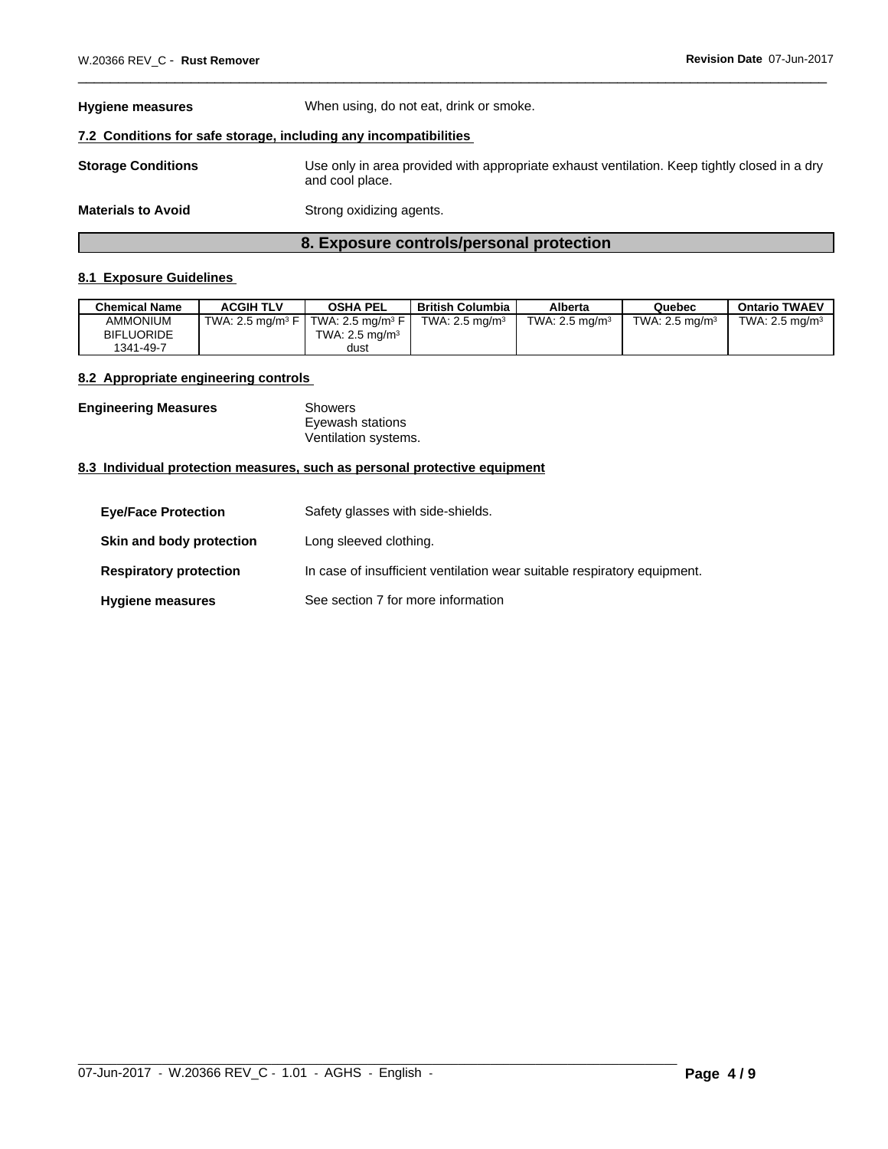| <b>Hygiene measures</b>                                          | When using, do not eat, drink or smoke.                                                                         |
|------------------------------------------------------------------|-----------------------------------------------------------------------------------------------------------------|
| 7.2 Conditions for safe storage, including any incompatibilities |                                                                                                                 |
| <b>Storage Conditions</b>                                        | Use only in area provided with appropriate exhaust ventilation. Keep tightly closed in a dry<br>and cool place. |
| <b>Materials to Avoid</b>                                        | Strong oxidizing agents.                                                                                        |

# **8. Exposure controls/personal protection**

### **8.1 Exposure Guidelines**

| <b>Chemical Name</b> | <b>ACGIH TLV</b>                | <b>OSHA PEL</b>                    | <b>British Columbia</b>    | Alberta           | Quebec                    | <b>Ontario TWAEV</b>       |
|----------------------|---------------------------------|------------------------------------|----------------------------|-------------------|---------------------------|----------------------------|
| <b>AMMONIUM</b>      | TWA: 2.5 mg/m $3$ F $\parallel$ | $\mid$ TWA: 2.5 ma/m $^3$ F $\mid$ | TWA: 2.5 mg/m <sup>3</sup> | TWA: 2.5 mg/m $3$ | TWA: $2.5 \text{ ma/m}^3$ | TWA: 2.5 mg/m <sup>3</sup> |
| <b>BIFLUORIDE</b>    |                                 | TWA: $2.5 \text{ ma/m}^3$          |                            |                   |                           |                            |
| 1341-49-7            |                                 | dust                               |                            |                   |                           |                            |

### **8.2 Appropriate engineering controls**

| <b>Engineering Measures</b> | Showers              |  |
|-----------------------------|----------------------|--|
|                             | Eyewash stations     |  |
|                             | Ventilation systems. |  |

### **8.3 Individual protection measures, such as personal protective equipment**

| <b>Eve/Face Protection</b>    | Safety glasses with side-shields.                                        |
|-------------------------------|--------------------------------------------------------------------------|
| Skin and body protection      | Long sleeved clothing.                                                   |
| <b>Respiratory protection</b> | In case of insufficient ventilation wear suitable respiratory equipment. |
| <b>Hygiene measures</b>       | See section 7 for more information                                       |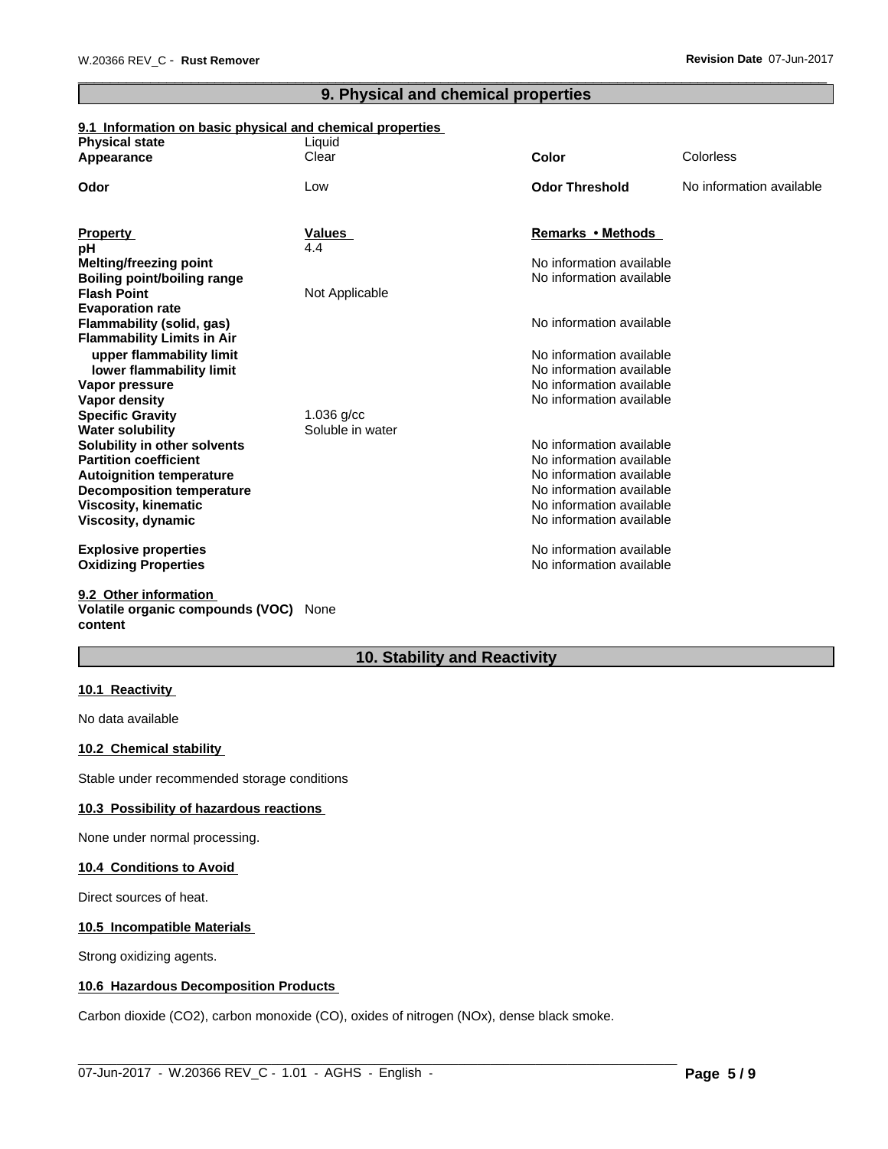# **9. Physical and chemical properties**

# **9.1 Information on basic physical and chemical properties**

| <b>Physical state</b>                              | Liquid                           |                          |                          |
|----------------------------------------------------|----------------------------------|--------------------------|--------------------------|
| Appearance                                         | Clear                            | <b>Color</b>             | Colorless                |
| Odor                                               | Low                              | <b>Odor Threshold</b>    | No information available |
| <b>Property</b>                                    | <b>Values</b>                    | Remarks • Methods        |                          |
| рH                                                 | 4.4                              |                          |                          |
| <b>Melting/freezing point</b>                      |                                  | No information available |                          |
| <b>Boiling point/boiling range</b>                 |                                  | No information available |                          |
| <b>Flash Point</b>                                 | Not Applicable                   |                          |                          |
| <b>Evaporation rate</b>                            |                                  |                          |                          |
| Flammability (solid, gas)                          |                                  | No information available |                          |
| <b>Flammability Limits in Air</b>                  |                                  |                          |                          |
| upper flammability limit                           |                                  | No information available |                          |
| lower flammability limit                           |                                  | No information available |                          |
| Vapor pressure                                     |                                  | No information available |                          |
| Vapor density                                      |                                  | No information available |                          |
| <b>Specific Gravity</b><br><b>Water solubility</b> | $1.036$ g/cc<br>Soluble in water |                          |                          |
| Solubility in other solvents                       |                                  | No information available |                          |
| <b>Partition coefficient</b>                       |                                  | No information available |                          |
| <b>Autoignition temperature</b>                    |                                  | No information available |                          |
| <b>Decomposition temperature</b>                   |                                  | No information available |                          |
| <b>Viscosity, kinematic</b>                        |                                  | No information available |                          |
| Viscosity, dynamic                                 |                                  | No information available |                          |
| <b>Explosive properties</b>                        |                                  | No information available |                          |
| <b>Oxidizing Properties</b>                        |                                  | No information available |                          |
| 9.2 Other information                              |                                  |                          |                          |

# **Volatile organic compounds (VOC)** None **content**

# **10. Stability and Reactivity**

#### **10.1 Reactivity**

No data available

### **10.2 Chemical stability**

Stable under recommended storage conditions

#### **10.3 Possibility of hazardous reactions**

None under normal processing.

#### **10.4 Conditions to Avoid**

Direct sources of heat.

#### **10.5 Incompatible Materials**

Strong oxidizing agents.

# **10.6 Hazardous Decomposition Products**

Carbon dioxide (CO2), carbon monoxide (CO), oxides of nitrogen (NOx), dense black smoke.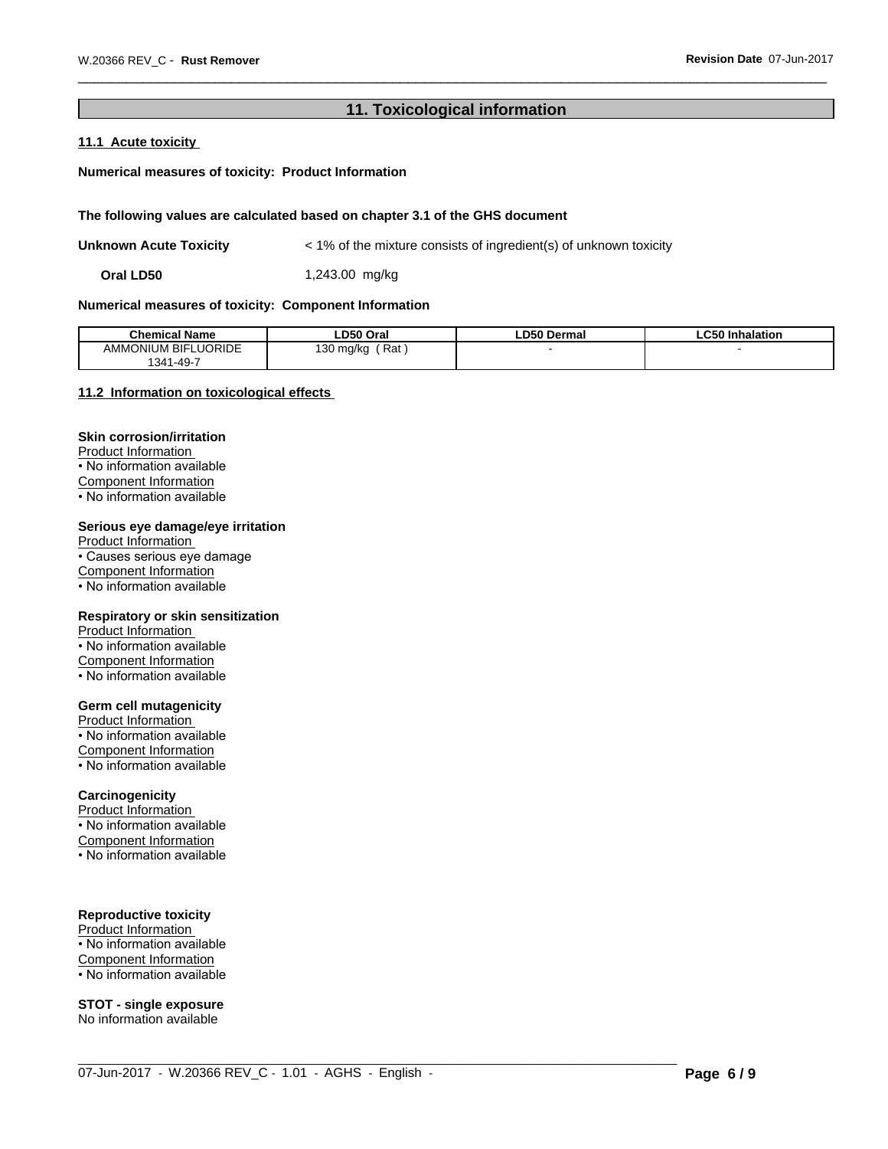# **11. Toxicological information**

# **11.1 Acute toxicity**

### **Numerical measures of toxicity: Product Information**

#### **The following values are calculated based on chapter 3.1 of the GHS document**

**Unknown Acute Toxicity**  $\leq 1\%$  of the mixture consists of ingredient(s) of unknown toxicity

**Oral LD50** 1,243.00 mg/kg

#### **Numerical measures of toxicity: Component Information**

| <b>Chemical Name</b>                                 | LD50 Oral            | <b>LD50 Dermal</b> | ∟C50 Inhalation |
|------------------------------------------------------|----------------------|--------------------|-----------------|
| <b>ELUORIDE</b><br><b>AMMONIUM BIFI</b><br>1341-49-7 | Rat<br>) mg/kg<br>οU |                    |                 |

 $\_$  ,  $\_$  ,  $\_$  ,  $\_$  ,  $\_$  ,  $\_$  ,  $\_$  ,  $\_$  ,  $\_$  ,  $\_$  ,  $\_$  ,  $\_$  ,  $\_$  ,  $\_$  ,  $\_$  ,  $\_$  ,  $\_$  ,  $\_$  ,  $\_$  ,  $\_$  ,  $\_$  ,  $\_$  ,  $\_$  ,  $\_$  ,  $\_$  ,  $\_$  ,  $\_$  ,  $\_$  ,  $\_$  ,  $\_$  ,  $\_$  ,  $\_$  ,  $\_$  ,  $\_$  ,  $\_$  ,  $\_$  ,  $\_$  ,

#### **11.2 Information on toxicologicaleffects**

#### **Skin corrosion/irritation**

Product Information • No information available Component Information • No information available

#### **Serious eye damage/eye irritation**

Product Information • Causes serious eye damage Component Information • No information available

#### **Respiratory or skin sensitization**

Product Information • No information available Component Information  $\overline{\cdot}$  No information available

#### **Germ cell mutagenicity**

Product Information • No information available Component Information • No information available

#### **Carcinogenicity**

Product Information • No information available Component Information  $\overline{\cdot}$  No information available

#### **Reproductive toxicity**

Product Information • No information available Component Information • No information available

# **STOT - single exposure**

No information available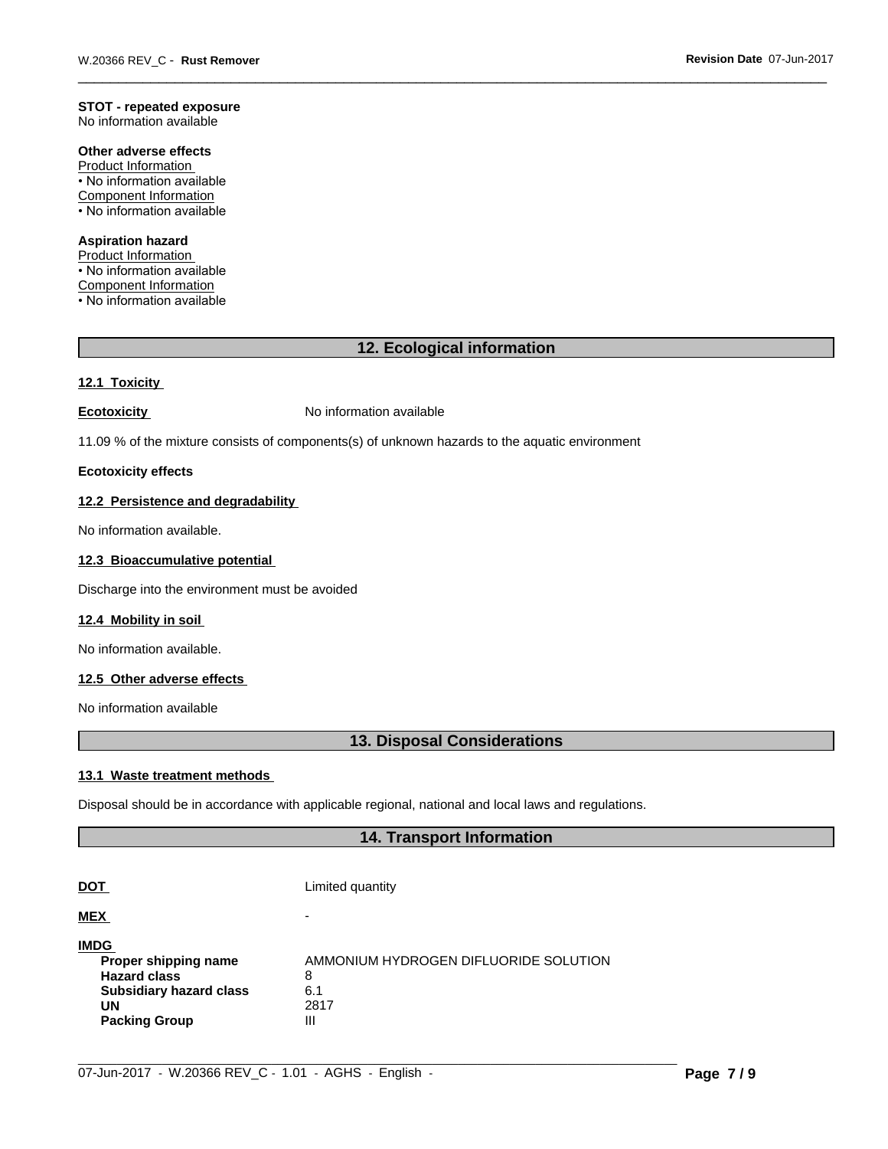# **STOT - repeated exposure**

No information available

# **Other adverse effects**

Product Information • No information available Component Information • No information available

# **Aspiration hazard**

Product Information

• No information available

Component Information

• No information available

# **12. Ecological information**

#### **12.1 Toxicity**

**Ecotoxicity No information available** 

11.09 % of the mixture consists of components(s) of unknown hazards to the aquatic environment

### **Ecotoxicity effects**

# **12.2 Persistence and degradability**

No information available.

#### **12.3 Bioaccumulative potential**

Discharge into the environment must be avoided

#### **12.4 Mobility in soil**

No information available.

#### **12.5 Other adverse effects**

No information available

# **13. Disposal Considerations**

#### **13.1 Waste treatment methods**

Disposal should be in accordance with applicable regional, national and local laws and regulations.

# **14. Transport Information**

| <b>DOT</b>                     | Limited quantity                      |
|--------------------------------|---------------------------------------|
| <b>MEX</b>                     | -                                     |
| <b>IMDG</b>                    |                                       |
| Proper shipping name           | AMMONIUM HYDROGEN DIFLUORIDE SOLUTION |
| <b>Hazard class</b>            | 8                                     |
| <b>Subsidiary hazard class</b> | 6.1                                   |
| UN                             | 2817                                  |
| <b>Packing Group</b>           | $\mathbf{III}$                        |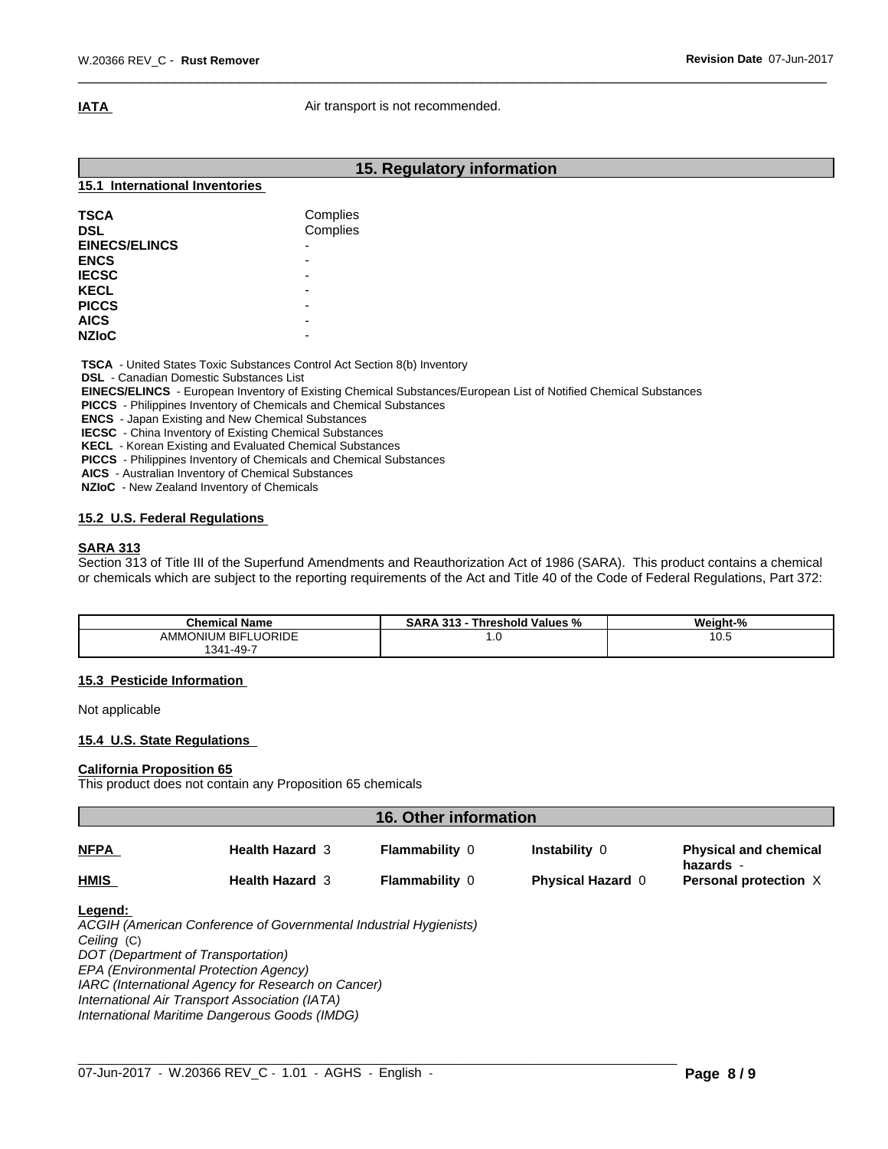**IATA Air transport is not recommended.** 

|                                                                                                                                | 15. Regulatory information                                                                                                                                                                   |  |  |
|--------------------------------------------------------------------------------------------------------------------------------|----------------------------------------------------------------------------------------------------------------------------------------------------------------------------------------------|--|--|
| 15.1 International Inventories                                                                                                 |                                                                                                                                                                                              |  |  |
| <b>TSCA</b><br><b>DSL</b><br><b>EINECS/ELINCS</b><br><b>ENCS</b><br><b>IECSC</b><br><b>KECL</b><br><b>PICCS</b><br><b>AICS</b> | Complies<br>Complies<br>$\overline{\phantom{0}}$<br>$\overline{\phantom{0}}$<br>$\overline{\phantom{0}}$<br>$\overline{\phantom{0}}$<br>$\overline{\phantom{0}}$<br>$\overline{\phantom{0}}$ |  |  |
| <b>NZIOC</b>                                                                                                                   | $\overline{\phantom{0}}$                                                                                                                                                                     |  |  |

 **TSCA** - United States Toxic Substances Control Act Section 8(b) Inventory

 **DSL** - Canadian Domestic Substances List

 **EINECS/ELINCS** - European Inventory of Existing Chemical Substances/European List of Notified Chemical Substances

 **PICCS** - Philippines Inventory of Chemicals and Chemical Substances

 **ENCS** - Japan Existing and New Chemical Substances

 **IECSC** - China Inventory of Existing Chemical Substances

 **KECL** - Korean Existing and Evaluated Chemical Substances

 **PICCS** - Philippines Inventory of Chemicals and Chemical Substances

 **AICS** - Australian Inventory of Chemical Substances

 **NZIoC** - New Zealand Inventory of Chemicals

### **15.2 U.S. Federal Regulations**

#### **SARA 313**

Section 313 of Title III of the Superfund Amendments and Reauthorization Act of 1986 (SARA). This product contains a chemical or chemicals which are subject to the reporting requirements of the Act and Title 40 of the Code of Federal Regulations, Part 372:

| <b>Chemical Name</b>          | - - -<br>-949<br>i hreshold Values '<br>- 0<br>SARA<br>70<br>$\cdot$<br> | Weight-% |
|-------------------------------|--------------------------------------------------------------------------|----------|
| LUORIDE<br>AMMONIUM<br>. BIF' | 1. U                                                                     | 10.5     |
| $\sqrt{2}$<br>. 341-49-.      |                                                                          |          |

#### **15.3 Pesticide Information**

Not applicable

#### **15.4 U.S. State Regulations**

#### **California Proposition 65**

This product does not contain any Proposition 65 chemicals

| 16. Other information |                        |                       |                          |                                           |  |
|-----------------------|------------------------|-----------------------|--------------------------|-------------------------------------------|--|
| <b>NFPA</b>           | <b>Health Hazard 3</b> | <b>Flammability 0</b> | Instability 0            | <b>Physical and chemical</b><br>hazards - |  |
| <b>HMIS</b>           | <b>Health Hazard 3</b> | <b>Flammability 0</b> | <b>Physical Hazard 0</b> | Personal protection X                     |  |
| .                     |                        |                       |                          |                                           |  |

#### **Legend:**

*ACGIH (American Conference of Governmental Industrial Hygienists) Ceiling* (C) *DOT (Department of Transportation) EPA (Environmental Protection Agency) IARC (International Agency for Research on Cancer) International Air Transport Association (IATA) International Maritime Dangerous Goods (IMDG)*